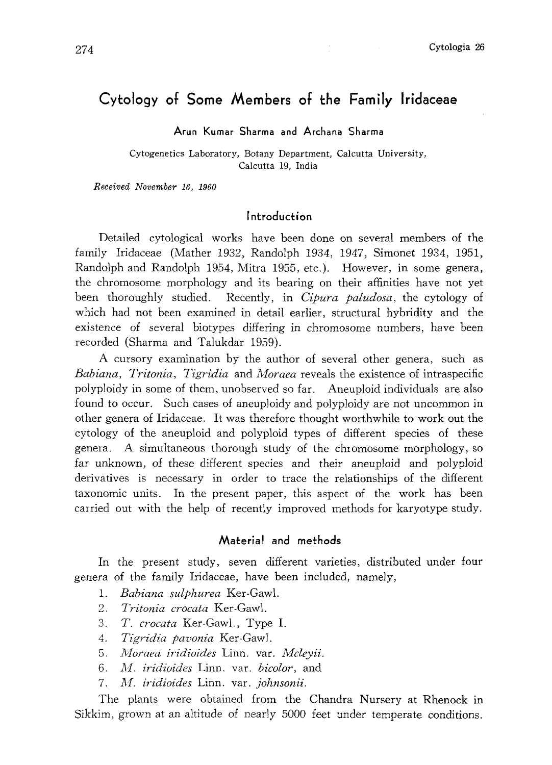# Cytology of Some Members of the Family Iridaceae

Arun Kumar Sharma and Archana Sharma

Cytogenetics Laboratory, Botany Department, Calcutta University. Calcutta 19, India

Received November 16, 1960

### Introduction

Detailed cytological works have been done on several members of the family Iridaceae (Mather 1932, Randolph 1934, 1947, Simonet 1934, 1951, Randolph and Randolph 1954, Mitra 1955, etc.), However, in some genera, the chromosome morphology and its bearing on their affinities have not yet been thoroughly studied. Recently, in *Cipura paludosa*, the cytology of which had not been examined in detail earlier, structural hybridity and the existence of several biotypes differing in chromosome numbers, have been recorded (Sharma and Talukdar 1959).

A cursory examination by the author of several other genera, such as Babiana, Tritonia, Tigridia and Moraea reveals the existence of intraspecific polyploidy in some of them, unobserved so far. Aneuploid individuals are also found to occur. Such cases of aneuploidy and polyploidy are not uncommon in other genera of Iridaceae. It was therefore thought worthwhile to work out the cytology of the aneuploid and polyploid types of different species of these genera. A simultaneous thorough study of the chromosome morphology, so far unknown, of these different species and their aneuploid and polyploid derivatives is necessary in order to trace the relationships of the different taxonomic units. In the present paper, this aspect of the work has been carried out with the help of recently improved methods for karyotype study.

## Material and methods

In the present study, seven different varieties, distributed under four genera of the family Iridaceae, have been included, namely,

- 1. Babiana sulphurea Ker-Gawl.
- 2. Tritonia crocata Ker-Gawl.
- 3. T. crocata Ker-Gawl., Type I.
- 4. Tigridia pavonia Ker-Gawl.
- 5. Moraea iridioides Linn, var. Mcleyii.
- 6. M. iridioides Linn. var. bicolor, and
- 7. M. iridioides Linn. var. johnsonii.

The plants were obtained from the Chandra Nursery at Rhenock in Sikkim, grown at an altitude of nearly 5000 feet under temperate conditions.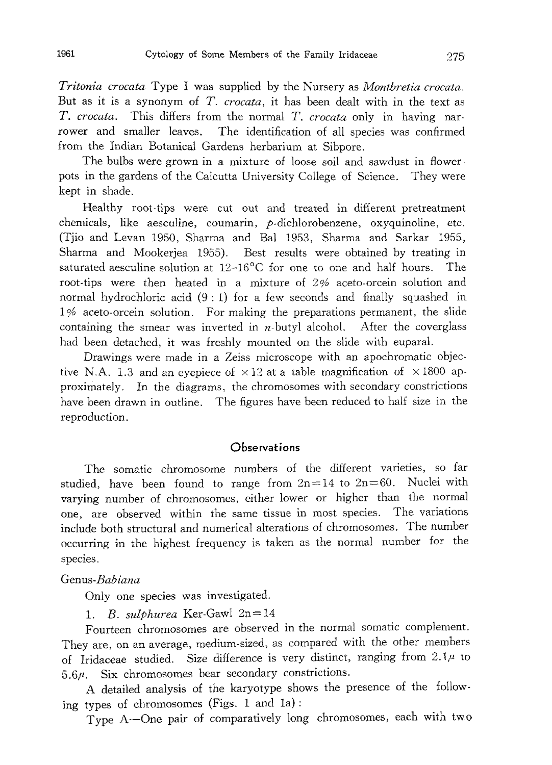Tritonia crocata Type I was supplied by the Nursery as *Montbretia crocata*. But as it is a synonym of T. crocata, it has been dealt with in the text as T. crocata. This differs from the normal T. crocata only in having narrower and smaller leaves. The identification of all species was confirmed from the Indian Botanical Gardens herbarium at Sibpore.

The bulbs were grown in a mixture of loose soil and sawdust in flower pots in the gardens of the Calcutta University College of Science. They were kept in shade.

Healthy root-tips were cut out and treated in different pretreatment chemicals, like aesculine, coumarin, p-dichlorobenzene, oxyquinoline, etc. (Tjio and Levan 1950, Sharma and Bal 1953, Sharma and Sarkar 1955, Sharma and Mookerjea 1955). Best results were obtained by treating in saturated aesculine solution at  $12\negthinspace\negthinspace-16^{\circ}\mathbb{C}$  for one to one and half hours. The root-tips were then heated in a mixture of 2% aceto-orcein solution and normal hydrochloric acid (9: 1) for a few seconds and finally squashed in 1% aceto-orcein solution. For making the preparations permanent, the slide containing the smear was inverted in  $n$ -butyl alcohol. After the coverglass had been detached, it was freshly mounted on the slide with euparal.

Drawings were made in a Zeiss microscope with an apochromatic objec tive N.A. 1.3 and an eyepiece of  $\times$ 12 at a table magnification of  $\times$ 1800 approximately. In the diagrams, the chromosomes with secondary constrictions have been drawn in outline. The figures have been reduced to half size in the reproduction.

### **Observations**

The somatic chromosome numbers of the different varieties, so far studied, have been found to range from  $2n=14$  to  $2n=60$ . Nuclei with varying number of chromosomes, either lower or higher than the normal one, are observed within the same tissue in most species. The variations include both structural and numerical alterations of chromosomes. The number occurring in the highest frequency is taken as the normal number for the species.

#### Genus-Babiana

Only one species was investigated.

1. B. sulphurea Ker-Gawl  $2n=14$ 

Fourteen chromosomes are observed in the normal somatic complement. They are, on an average, medium-sized, as compared with the other members of Iridaceae studied. Size difference is very distinct, ranging from  $2.1\mu$  to  $5.6\mu$ . Six chromosomes bear secondary constrictions.

A detailed analysis of the karyotype shows the presence of the follow ing types of chromosomes (Figs. 1 and la):

Type A-One pair of comparatively long chromosomes, each with two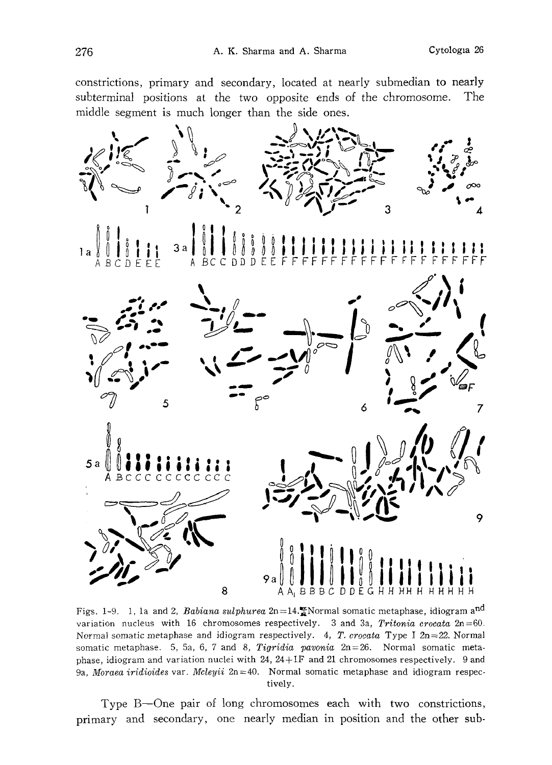constrictions, primary and secondary, located at nearly submedian to nearly subterminal positions at the two opposite ends of the chromosome. The middle segment is much longer than the side ones.



Figs. 1-9. 1, la and 2, Babiana sulphurea  $2n=14.$  Normal somatic metaphase, idiogram a<sup>nd</sup> variation nucleus with 16 chromosomes respectively. 3 and 3a, Tritonia crocata  $2n=60$ . Normal somatic metaphase and idiogram respectively. 4, T. crocata Type I 2n=22. Normal somatic metaphase. 5, 5a, 6, 7 and 8, *Tigridia pavonia*  $2n=26$ . Normal somatic metaphase, idiogram and variation nuclei with  $24$ ,  $24+1F$  and 21 chromosomes respectively. 9 and 9a, Moraea iridioides var. Mcleyii  $2n=40$ . Normal somatic metaphase and idiogram respectively.

Type B-One pair of long chromosomes each with two constrictions, primary and secondary, one nearly median in position and the other sub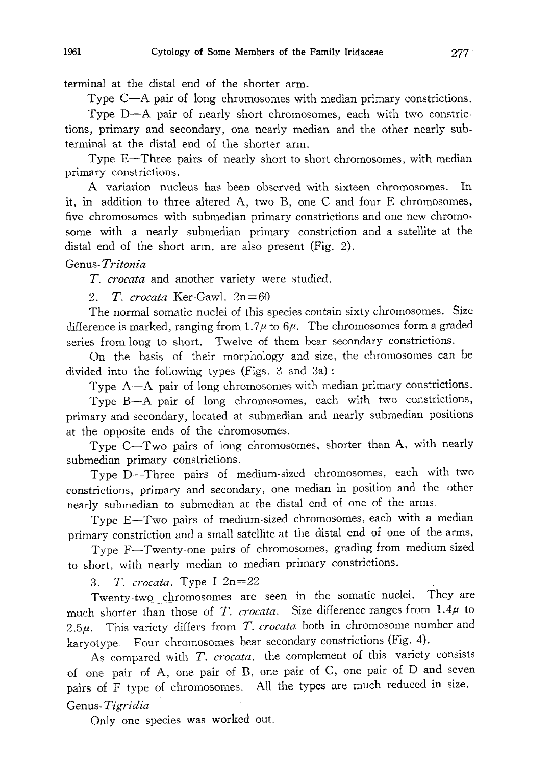terminal at the distal end of the shorter arm.

Type C-A pair of long chromosomes with median primary constrictions.

Type D-A pair of nearly short chromosomes, each with two constrictions, primary and secondary, one nearly median and the other nearly sub terminal at the distal end of the shorter arm.

Type E-Three pairs of nearly short to short chromosomes, with median primary constrictions.

A variation nucleus has been observed with sixteen chromosomes. In it, in addition to three altered A, two B, one C and four E chromosomes, five chromosomes with submedian primary constrictions and one new chromosome with a nearly submedian primary constriction and a satellite at the distal end of the short arm, are also present (Fig. 2).

## Genus-Tritonia

T. crocata and another variety were studied.

2. T. crocata Ker-Gawl.  $2n=60$ 

The normal somatic nuclei of this species contain sixty chromosomes. Size difference is marked, ranging from  $1.7\mu$  to 6 $\mu$ . The chromosomes form a graded series from long to short. Twelve of them bear secondary constrictions.

On the basis of their morphology and size, the chromosomes can be divided into the following types (Figs. 3 and 3a)

Type A-A pair of long chromosomes with median primary constrictions.

Type B-A pair of long chromosomes, each with two constrictions, primary and secondary, located at submedian and nearly submedian positions at the opposite ends of the chromosomes.

Type  $C-Tw$  pairs of long chromosomes, shorter than A, with nearly submedian primary constrictions.

Type D-Three pairs of medium-sized chromosomes, each with two constrictions, primary and secondary, one median in position and the other nearly submedian to submedian at the distal end of one of the arms.

Type E-Two pairs of medium-sized chromosomes, each with a median primary constriction and a small satellite at the distal end of one of the arms.

Type F-Twenty-one pairs of chromosomes, grading from medium sized to short, with nearly median to median primary constrictions.

3. T. crocata. Type I  $2n=22$ 

Twenty-two chromosomes are seen in the somatic nuclei. They are much shorter than those of T. crocata. Size difference ranges from  $1.4\mu$  to 2.5 $\mu$ . This variety differs from T. crocata both in chromosome number and karyotype. Four chromosomes bear secondary constrictions (Fig. 4).

As compared with T. crocata, the complement of this variety consists of one pair of A, one pair of B, one pair of C, one pair of D and seven pairs of F type of chromosomes. All the types are much reduced in size. Genus-Tigridia

Only one species was worked out.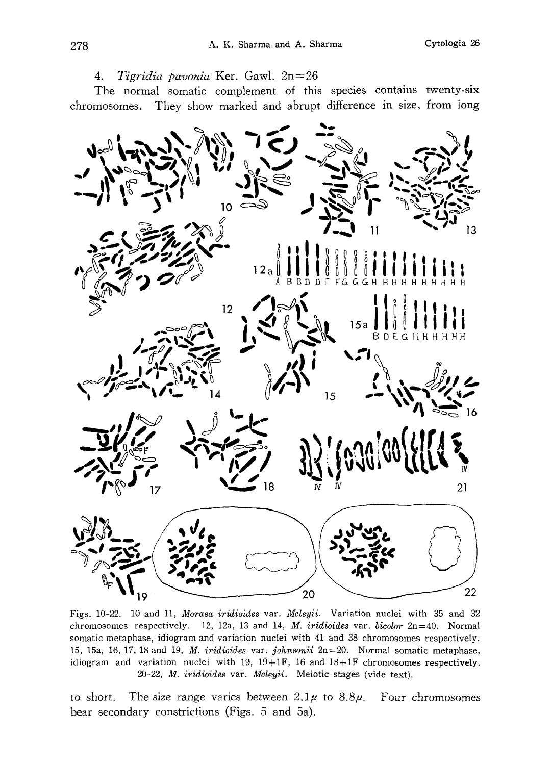4. Tigridia pavonia Ker. Gawl. 2n=26

The normal somatic complement of this species contains twenty-six chromosomes. They show marked and abrupt difference in size, from long



Figs. 10-22. 10 and 11, Moraea iridioides var. Mcleyii. Variation nuclei with 35 and 32 chromosomes respectively. 12, 12a, 13 and 14, M. iridioides var. bicolor  $2n=40$ . Normal somatic metaphase, idiogram and variation nuclei with 41 and 38 chromosomes respectively. 15, 15a, 16, 17, 18 and 19, *M. iridioides* var. johnsonii  $2n=20$ . Normal somatic metaphase, idiogram and variation nuclei with 19,  $19+1F$ , 16 and  $18+1F$  chromosomes respectively. 20-22, M. iridioides var. Mcleyii. Meiotic stages (vide text).

to short. The size range varies between  $2.1\mu$  to  $8.8\mu$ . Four chromosomes bear secondary constrictions (Figs. 5 and 5a).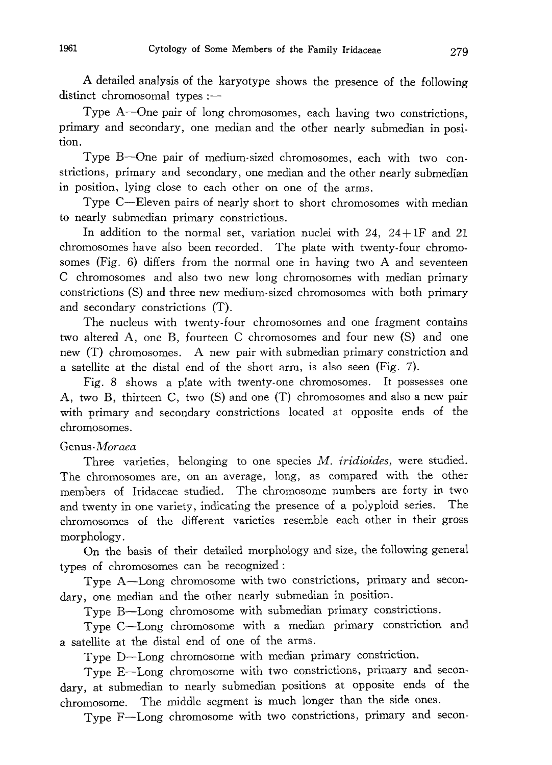A detailed analysis of the karyotype shows the presence of the following distinct chromosomal types: —

Type  $A$ —One pair of long chromosomes, each having two constrictions, primary and secondary, one median and the other nearly submedian in posi tion.

Type B-One pair of medium-sized chromosomes, each with two constrictions, primary and secondary, one median and the other nearly submedian in position, lying close to each other on one of the arms.

Type C--Eleven pairs of nearly short to short chromosomes with median to nearly submedian primary constrictions.

In addition to the normal set, variation nuclei with  $24$ ,  $24+1F$  and  $21$ chromosomes have also been recorded. The plate with twenty-four chromo somes (Fig. 6) differs from the normal one in having two A and seventeen C chromosomes and also two new long chromosomes with median primary constrictions (S) and three new medium-sized chromosomes with both primary and secondary constrictions (T).

The nucleus with twenty-four chromosomes and one fragment contains two altered A, one B, fourteen C chromosomes and four new (S) and one new (T) chromosomes. A new pair with submedian primary constriction and a satellite at the distal end of the short arm, is also seen (Fig. 7).

Fig. 8 shows a plate with twenty-one chromosomes. It possesses one A, two B, thirteen C, two (S) and one (T) chromosomes and also a new pair with primary and secondary constrictions located at opposite ends of the chromosomes.

## Genus-Moraea

Three varieties, belonging to one species M. iridioides, were studied. The chromosomes are, on an average, long, as compared with the other members of Iridaceae studied. The chromosome numbers are forty in two and twenty in one variety, indicating the presence of a polyploid series. The chromosomes of the different varieties resemble each other in their gross morphology.

On the basis of their detailed morphology and size, the following general types of chromosomes can be recognized:

Type A-Long chromosome with two constrictions, primary and secon dary, one median and the other nearly submedian in position.

Type B-Long chromosome with submedian primary constrictions.

Type C-Long chromosome with a median primary constriction and a satellite at the distal end of one of the arms.

Type D-Long chromosome with median primary constriction.

Type E-Long chromosome with two constrictions, primary and secon dary, at submedian to nearly submedian positions at opposite ends of the chromosome. The middle segment is much longer than the side ones.

Type F-Long chromosome with two constrictions, primary and secon-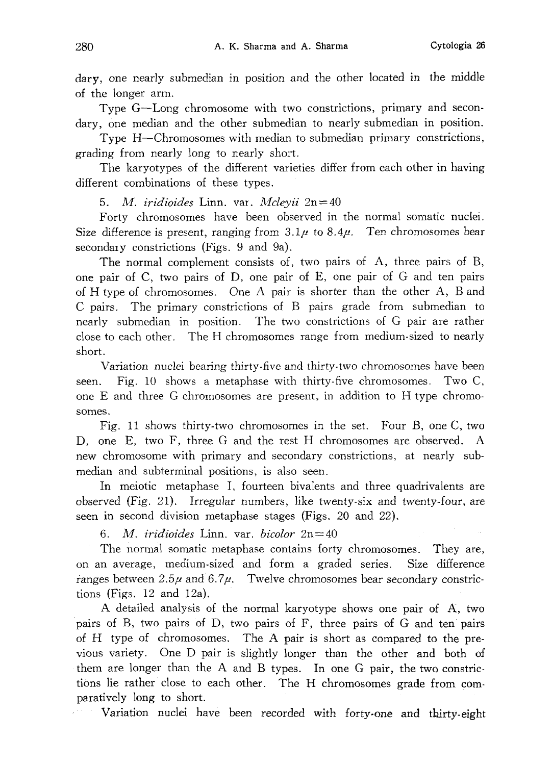dary, one nearly submedian in position and the other located in the middle of the longer arm.

Type G-Long chromosome with two constrictions, primary and secon dary, one median and the other submedian to nearly submedian in position.

Type H-Chromosomes with median to submedian primary constrictions, grading from nearly long to nearly short.

The karyotypes of the different varieties differ from each other in having different combinations of these types.

5. *M. iridioides* Linn. var. *Mcleyii*  $2n = 40$ 

Forty chromosomes have been observed in the normal somatic nuclei. Size difference is present, ranging from  $3.1\mu$  to  $8.4\mu$ . Ten chromosomes bear secondary constrictions (Figs. 9 and 9a).

The normal complement consists of, two pairs of A, three pairs of B, one pair of C, two pairs of D, one pair of E, one pair of G and ten pairs of H type of chromosomes. One A pair is shorter than the other A, B and C pairs. The primary constrictions of B pairs grade from submedian to nearly submedian in position. The two constrictions of G pair are rather close to each other. The H chromosomes range from medium-sized to nearly short.

Variation nuclei bearing thirty-five and thirty-two chromosomes have been seen. Fig. 10 shows a metaphase with thirty-five chromosomes. Two C, one E and three G chromosomes are present, in addition to H type chromo somes.

Fig. 11 shows thirty-two chromosomes in the set. Four B, one C, two D, one E, two F, three G and the rest H chromosomes are observed. A new chromosome with primary and secondary constrictions, at nearly sub median and subterminal positions, is also seen.

In meiotic metaphase I, fourteen bivalents and three quadrivalents are observed (Fig. 21). Irregular numbers, like twenty-six and twenty-four, are seen in second division metaphase stages (Figs. 20 and 22).

6. *M. iridioides* Linn. var. *bicolor*  $2n=40$ 

The normal somatic metaphase contains forty chromosomes. They are, on an average, medium-sized and form a graded series. Size difference ranges between  $2.5\mu$  and  $6.7\mu$ . Twelve chromosomes bear secondary constrictions (Figs. 12 and 12a).

A detailed analysis of the normal karyotype shows one pair of A, two pairs of B, two pairs of D, two pairs of F, three pairs of G and ten pairs of H type of chromosomes. The A pair is short as compared to the pre vious variety. One D pair is slightly longer than the other and both of them are longer than the A and B types. In one G pair, the two constrictions lie rather close to each other. The H chromosomes grade from com paratively long to short.

Variation nuclei have been recorded with forty-one and thirty-eight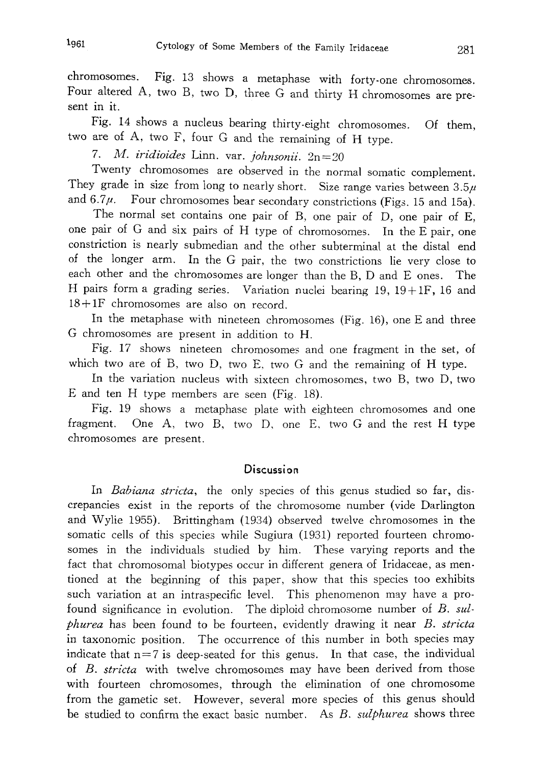chromosomes. Fig. 13 shows a metaphase with forty-one chromosomes . Four altered A, two B, two D, three G and thirty H chromosomes are pre sent in it.

Fig. 14 shows a nucleus bearing thirty-eight chromosomes Of them. two are of A, two F, four G and the remaining of H type .

7. M. *iridioides* Linn. var. *johnsonii*. 2n=

Twenty chromosomes are observed in the normal somatic complement . They grade in size from long to nearly short. Size range varies between  $3.5<sub>i</sub>$ and  $6.7\mu$ . Four chromosomes bear secondary constrictions (Figs. 15 and 15a

The normal set contains one pair of B, one pair of D, one pair of E one pair of G and six pairs of H type of chromosomes. In the E pair, one constriction is nearly submedian and the other subterminal at the distal end of the longer arm. In the G pair, the two constrictions lie very close to each other and the chromosomes are longer than the B, D and E ones. Th H pairs form a grading series. Variation nuclei bearing  $19, 19+1F, 16$  and  $18+1F$  chromosomes are also on record.

In the metaphase with nineteen chromosomes (Fig. 16), one E and three G chromosomes are present in addition to H.

Fig. 17 shows nineteen chromosomes and one fragment in the set, of which two are of B, two D, two E, two G and the remaining of H type.

In the variation nucleus with sixteen chromosomes, two B, two D, two E and ten H type members are seen (Fig. 18).

Fig. 19 shows a metaphase plate with eighteen chromosomes and one fragment. One A, two B, two D, one E, two G and the rest H type chromosomes are present.

#### **Discussion**

In *Babiana stricta*, the only species of this genus studied so far, discrepancies exist in the reports of the chromosome number (vide Darlington and Wylie 1955). Brittingham (1934) observed twelve chromosomes in the somatic cells of this species while Sugiura (1931) reported fourteen chromosomes in the individuals studied by him. These varying reports and the fact that chromosomal biotypes occur in different genera of Iridaceae, as men tioned at the beginning of this paper, show that this species too exhibits such variation at an intraspecific level. This phenomenon may have a pro found significance in evolution. The diploid chromosome number of B. sul *phurea* has been found to be fourteen, evidently drawing it near  $B$ . stricta in taxonomic position. The occurrence of this number in both species may indicate that  $n=7$  is deep-seated for this genus. In that case, the individual of B. stricta with twelve chromosomes may have been derived from those with fourteen chromosomes, through the elimination of one chromosome from the gametic set. However, several more species of this genus should be studied to confirm the exact basic number. As B. *sulphurea* shows three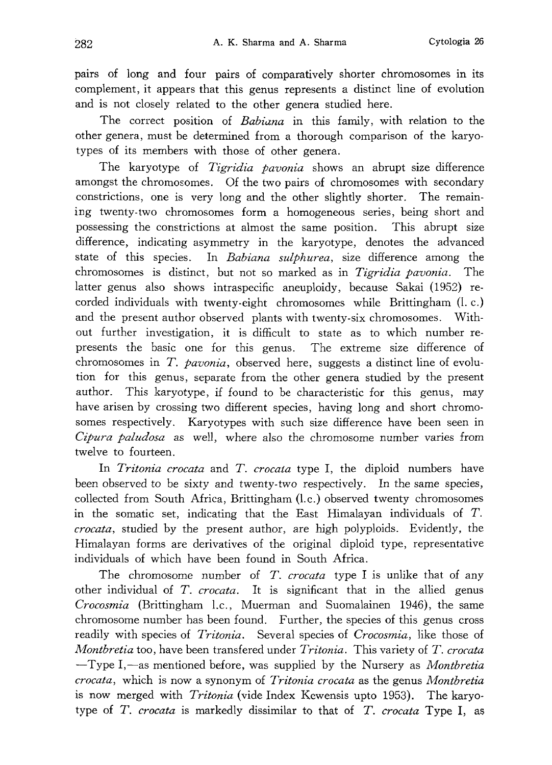pairs of long and four pairs of comparatively shorter chromosomes in its complement, it appears that this genus represents a distinct line of evolution and is not closely related to the other genera studied here.

The correct position of *Babiana* in this family, with relation to the other genera, must be determined from a thorough comparison of the karyo types of its members with those of other genera.

The karyotype of *Tigridia pavonia* shows an abrupt size difference amongst the chromosomes. Of the two pairs of chromosomes with secondary constrictions, one is very long and the other slightly shorter. The remain ing twenty-two chromosomes form a homogeneous series, being short and possessing the constrictions at almost the same position. This abrupt size difference, indicating asymmetry in the karyotype, denotes the advanced state of this species. In *Babiana sulphurea*, size difference among the chromosomes is distinct, but not so marked as in Tigridia pavonia. The latter genus also shows intraspecific aneuploidy, because Sakai (1952) re corded individuals with twenty-eight chromosomes while Brittingham (l. c.) and the present author observed plants with twenty-six chromosomes. With out further investigation, it is difficult to state as to which number re presents the basic one for this genus. The extreme size difference of chromosomes in  $T$ . *pavonia*, observed here, suggests a distinct line of evolution for this genus, separate from the other genera studied by the present author. This karyotype, if found to be characteristic for this genus, may have arisen by crossing two different species, having long and short chromo somes respectively. Karyotypes with such size difference have been seen in Cipura paludosa as well, where also the chromosome number varies from twelve to fourteen.

In *Tritonia crocata* and *T. crocata* type I, the diploid numbers have been observed to be sixty and twenty-two respectively. In the same species, collected from South Africa, Brittingham (l. c.) observed twenty chromosomes in the somatic set, indicating that the East Himalayan individuals of T. crocata, studied by the present author, are high polyploids. Evidently, the Himalayan forms are derivatives of the original diploid type, representative individuals of which have been found in South Africa.

The chromosome number of T. crocata type I is unlike that of any other individual of T. crocata. It is significant that in the allied genus Crocosmia (Brittingham l.c., Muerman and Suomalainen 1946), the same chromosome number has been found. Further, the species of this genus cross readily with species of *Tritonia*. Several species of *Crocosmia*, like those of *Montbretia* too, have been transfered under  $Tritonia$ . This variety of  $T$ . *crocata*  $-Type I,$ —as mentioned before, was supplied by the Nursery as *Montbretia* crocata, which is now a synonym of Tritonia crocata as the genus Montbretia is now merged with *Tritonia* (vide Index Kewensis upto 1953). The karyotype of T. crocata is markedly dissimilar to that of T. crocata Type I, as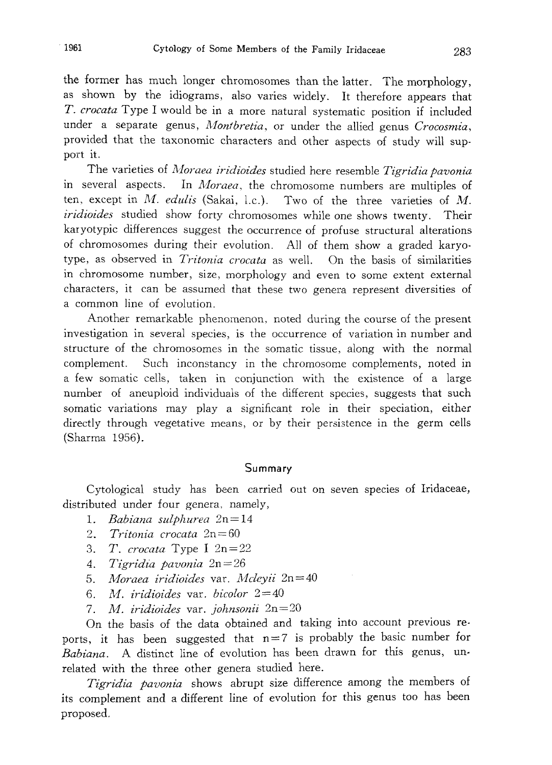the former has much longer chromosomes than the latter. The morphology, as shown by the idiograms, also varies widely . It therefore appears that T. crocata Type I would be in a more natural systematic position if included under a separate genus, Montbretia, or under the allied genus Crocosmia, provided that the taxonomic characters and other aspects of study will sup port it.

The varieties of Moraea iridioides studied here resemble Tigridia pavonia in several aspects. In Moraea, the chromosome numbers are multiples of ten, except in  $M.$  edulis (Sakai, l.c.). Two of the three varieties of  $M.$ *iridioides* studied show forty chromosomes while one shows twenty. Their karyotypic differences suggest the occurrence of profuse structural alterations of chromosomes during their evolution. All of them show a graded karyo type, as observed in Tritonia crocata as well. On the basis of similarities in chromosome number, size, morphology and even to some extent external characters, it can be assumed that these two genera represent diversities of a common line of evolution.

Another remarkable phenomenon, noted during the course of the present investigation in several species, is the occurrence of variation in number and structure of the chromosomes in the somatic tissue, along with the normal complement. Such inconstancy in the chromosome complements, noted in a few somatic cells, taken in conjunction with the existence of a large number of aneuploid individuals of the different species, suggests that such somatic variations may play a significant role in their speciation, either directly through vegetative means, or by their persistence in the germ cells (Sharma 1956).

#### Summary

Cytological study has been carried out on seven species of Iridaceae, distributed under four genera, namely,

- 1. Babiana sulphurea 2n=14
- 2. Tritonia crocata 2n=60
- 3. T. crocata Type I  $2n=22$
- 4. Tigridia pavonia 2n=26
- 5. Moraea iridioides var. Mcleyii  $2n=40$
- 6. M. iridioides var. bicolor  $2=40$
- 7. M. iridioides var. johnsonii 2n=20

On the basis of the data obtained and taking into account previous re ports, it has been suggested that  $n=7$  is probably the basic number for Babiana. A distinct line of evolution has been drawn for this genus, un related with the three other genera studied here.

Tigridia pavonia shows abrupt size difference among the members of its complement and a different line of evolution for this genus too has been proposed.